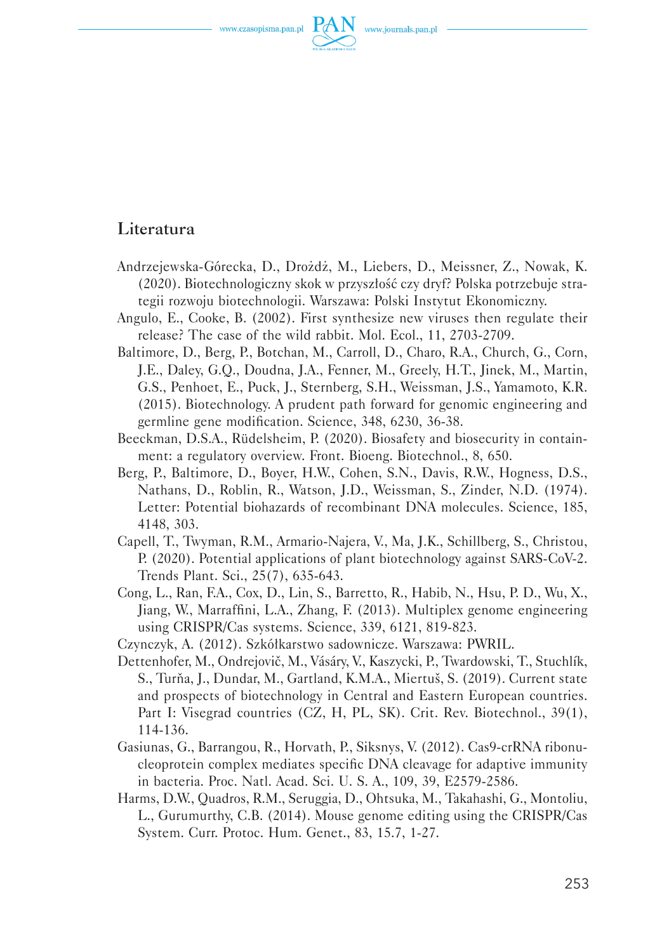www.czasopisma.pan.pl



## Literatura

- Andrzejewska-Górecka, D., Drożdż, M., Liebers, D., Meissner, Z., Nowak, K. (2020). Biotechnologiczny skok w przyszłość czy dryf? Polska potrzebuje strategii rozwoju biotechnologii. Warszawa: Polski Instytut Ekonomiczny.
- Angulo, E., Cooke, B. (2002). First synthesize new viruses then regulate their release? The case of the wild rabbit. Mol. Ecol., 11, 2703-2709.
- Baltimore, D., Berg, P., Botchan, M., Carroll, D., Charo, R.A., Church, G., Corn, J.E., Daley, G.Q., Doudna, J.A., Fenner, M., Greely, H.T., Jinek, M., Martin, G.S., Penhoet, E., Puck, J., Sternberg, S.H., Weissman, J.S., Yamamoto, K.R. (2015). Biotechnology. A prudent path forward for genomic engineering and germline gene modification. Science, 348, 6230, 36-38.
- Beeckman, D.S.A., Rüdelsheim, P. (2020). Biosafety and biosecurity in containment: a regulatory overview. Front. Bioeng. Biotechnol., 8, 650.
- Berg, P., Baltimore, D., Boyer, H.W., Cohen, S.N., Davis, R.W., Hogness, D.S., Nathans, D., Roblin, R., Watson, J.D., Weissman, S., Zinder, N.D. (1974). Letter: Potential biohazards of recombinant DNA molecules. Science, 185, 4148, 303.
- Capell, T., Twyman, R.M., Armario-Najera, V., Ma, J.K., Schillberg, S., Christou, P. (2020). Potential applications of plant biotechnology against SARS-CoV-2. Trends Plant. Sci., 25(7), 635-643.
- Cong, L., Ran, F.A., Cox, D., Lin, S., Barretto, R., Habib, N., Hsu, P. D., Wu, X., Jiang, W., Marraffini, L.A., Zhang, F. (2013). Multiplex genome engineering using CRISPR/Cas systems. Science, 339, 6121, 819-823.
- Czynczyk, A. (2012). Szkółkarstwo sadownicze. Warszawa: PWRIL.
- Dettenhofer, M., Ondrejovič, M., Vásáry, V., Kaszycki, P., Twardowski, T., Stuchlík, S., Turňa, J., Dundar, M., Gartland, K.M.A., Miertuš, S. (2019). Current state and prospects of biotechnology in Central and Eastern European countries. Part I: Visegrad countries (CZ, H, PL, SK). Crit. Rev. Biotechnol., 39(1), 114-136.
- Gasiunas, G., Barrangou, R., Horvath, P., Siksnys, V. (2012). Cas9-crRNA ribonucleoprotein complex mediates specific DNA cleavage for adaptive immunity in bacteria. Proc. Natl. Acad. Sci. U. S. A., 109, 39, E2579-2586.
- Harms, D.W., Quadros, R.M., Seruggia, D., Ohtsuka, M., Takahashi, G., Montoliu, L., Gurumurthy, C.B. (2014). Mouse genome editing using the CRISPR/Cas System. Curr. Protoc. Hum. Genet., 83, 15.7, 1-27.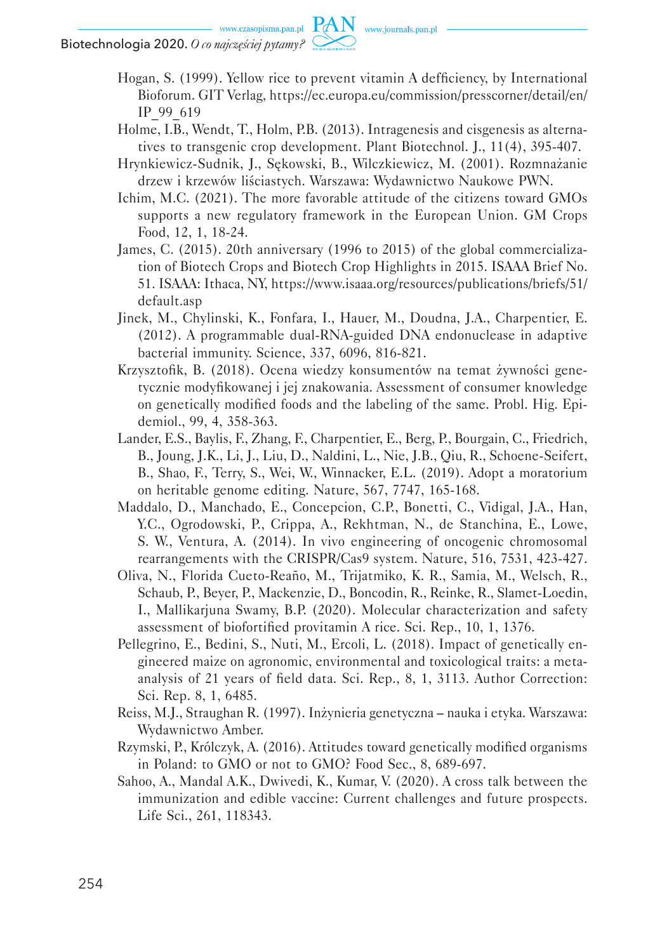Hogan, S. (1999). Yellow rice to prevent vitamin A defficiency, by International Bioforum. GIT Verlag, https://ec.europa.eu/commission/presscorner/detail/en/ IP\_99\_619

- Holme, I.B., Wendt, T., Holm, P.B. (2013). Intragenesis and cisgenesis as alternatives to transgenic crop development. Plant Biotechnol. J., 11(4), 395-407.
- Hrynkiewicz-Sudnik, J., Sękowski, B., Wilczkiewicz, M. (2001). Rozmnażanie drzew i krzewów liściastych. Warszawa: Wydawnictwo Naukowe PWN.
- Ichim, M.C. (2021). The more favorable attitude of the citizens toward GMOs supports a new regulatory framework in the European Union. GM Crops Food, 12, 1, 18-24.
- James, C. (2015). 20th anniversary (1996 to 2015) of the global commercialization of Biotech Crops and Biotech Crop Highlights in 2015. ISAAA Brief No. 51. ISAAA: Ithaca, NY, https://www.isaaa.org/resources/publications/briefs/51/ default.asp
- Jinek, M., Chylinski, K., Fonfara, I., Hauer, M., Doudna, J.A., Charpentier, E. (2012). A programmable dual-RNA-guided DNA endonuclease in adaptive bacterial immunity. Science, 337, 6096, 816-821.
- Krzysztofik, B. (2018). Ocena wiedzy konsumentów na temat żywności genetycznie modyfikowanej i jej znakowania. Assessment of consumer knowledge on genetically modified foods and the labeling of the same. Probl. Hig. Epidemiol., 99, 4, 358-363.
- Lander, E.S., Baylis, F., Zhang, F., Charpentier, E., Berg, P., Bourgain, C., Friedrich, B., Joung, J.K., Li, J., Liu, D., Naldini, L., Nie, J.B., Qiu, R., Schoene-Seifert, B., Shao, F., Terry, S., Wei, W., Winnacker, E.L. (2019). Adopt a moratorium on heritable genome editing. Nature, 567, 7747, 165-168.
- Maddalo, D., Manchado, E., Concepcion, C.P., Bonetti, C., Vidigal, J.A., Han, Y.C., Ogrodowski, P., Crippa, A., Rekhtman, N., de Stanchina, E., Lowe, S. W., Ventura, A. (2014). In vivo engineering of oncogenic chromosomal rearrangements with the CRISPR/Cas9 system. Nature, 516, 7531, 423-427.
- Oliva, N., Florida Cueto-Reaño, M., Trijatmiko, K. R., Samia, M., Welsch, R., Schaub, P., Beyer, P., Mackenzie, D., Boncodin, R., Reinke, R., Slamet-Loedin, I., Mallikarjuna Swamy, B.P. (2020). Molecular characterization and safety assessment of biofortified provitamin A rice. Sci. Rep., 10, 1, 1376.
- Pellegrino, E., Bedini, S., Nuti, M., Ercoli, L. (2018). Impact of genetically engineered maize on agronomic, environmental and toxicological traits: a metaanalysis of 21 years of field data. Sci. Rep., 8, 1, 3113. Author Correction: Sci. Rep. 8, 1, 6485.
- Reiss, M.J., Straughan R. (1997). Inżynieria genetyczna nauka i etyka. Warszawa: Wydawnictwo Amber.
- Rzymski, P., Królczyk, A. (2016). Attitudes toward genetically modified organisms in Poland: to GMO or not to GMO? Food Sec., 8, 689-697.
- Sahoo, A., Mandal A.K., Dwivedi, K., Kumar, V. (2020). A cross talk between the immunization and edible vaccine: Current challenges and future prospects. Life Sci., 261, 118343.